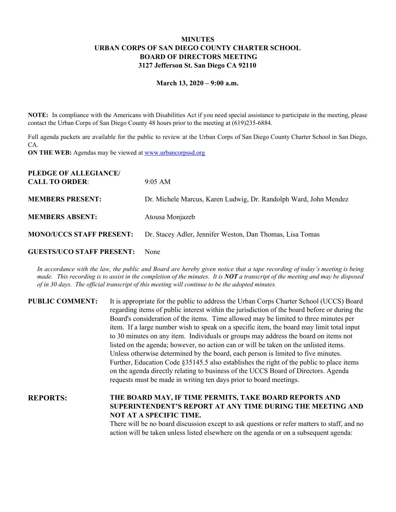# **MINUTES URBAN CORPS OF SAN DIEGO COUNTY CHARTER SCHOOL BOARD OF DIRECTORS MEETING 3127 Jefferson St. San Diego CA 92110**

#### **March 13, 2020 – 9:00 a.m.**

**NOTE:** In compliance with the Americans with Disabilities Act if you need special assistance to participate in the meeting, please contact the Urban Corps of San Diego County 48 hours prior to the meeting at (619)235-6884.

Full agenda packets are available for the public to review at the Urban Corps of San Diego County Charter School in San Diego, CA.

**ON THE WEB:** Agendas may be viewed at [www.urbancorpssd.org](http://www.urbancorpssd.org/)

| $9:05 \text{ AM}$                                                |
|------------------------------------------------------------------|
| Dr. Michele Marcus, Karen Ludwig, Dr. Randolph Ward, John Mendez |
| Atousa Monjazeb                                                  |
| Dr. Stacey Adler, Jennifer Weston, Dan Thomas, Lisa Tomas        |
|                                                                  |

#### **GUESTS/UCO STAFF PRESENT:** None

In accordance with the law, the public and Board are hereby given notice that a tape recording of today's meeting is being made. This recording is to assist in the completion of the minutes. It is  $NOT$  a transcript of the meeting and may be disposed *of in 30 days. The of icial transcript of this meeting will continue to be the adopted minutes.*

| <b>PUBLIC COMMENT:</b> | It is appropriate for the public to address the Urban Corps Charter School (UCCS) Board<br>regarding items of public interest within the jurisdiction of the board before or during the<br>Board's consideration of the items. Time allowed may be limited to three minutes per<br>item. If a large number wish to speak on a specific item, the board may limit total input<br>to 30 minutes on any item. Individuals or groups may address the board on items not<br>listed on the agenda; however, no action can or will be taken on the unlisted items.<br>Unless otherwise determined by the board, each person is limited to five minutes.<br>Further, Education Code §35145.5 also establishes the right of the public to place items<br>on the agenda directly relating to business of the UCCS Board of Directors. Agenda<br>requests must be made in writing ten days prior to board meetings. |
|------------------------|----------------------------------------------------------------------------------------------------------------------------------------------------------------------------------------------------------------------------------------------------------------------------------------------------------------------------------------------------------------------------------------------------------------------------------------------------------------------------------------------------------------------------------------------------------------------------------------------------------------------------------------------------------------------------------------------------------------------------------------------------------------------------------------------------------------------------------------------------------------------------------------------------------|
| <b>REPORTS:</b>        | THE BOARD MAY, IF TIME PERMITS, TAKE BOARD REPORTS AND                                                                                                                                                                                                                                                                                                                                                                                                                                                                                                                                                                                                                                                                                                                                                                                                                                                   |

**NOT AT A SPECIFIC TIME.** There will be no board discussion except to ask questions or refer matters to staff, and no action will be taken unless listed elsewhere on the agenda or on a subsequent agenda:

**SUPERINTENDENT'S REPORT AT ANY TIME DURING THE MEETING AND**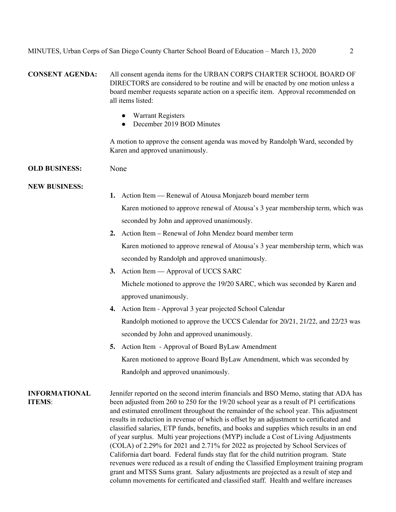**CONSENT AGENDA:** All consent agenda items for the URBAN CORPS CHARTER SCHOOL BOARD OF DIRECTORS are considered to be routine and will be enacted by one motion unless a board member requests separate action on a specific item. Approval recommended on all items listed:

- Warrant Registers
- December 2019 BOD Minutes

A motion to approve the consent agenda was moved by Randolph Ward, seconded by Karen and approved unanimously.

## **OLD BUSINESS:** None

### **NEW BUSINESS:**

- **1.** Action Item Renewal of Atousa Monjazeb board member term Karen motioned to approve renewal of Atousa's 3 year membership term, which was seconded by John and approved unanimously.
- **2.** Action Item Renewal of John Mendez board member term Karen motioned to approve renewal of Atousa's 3 year membership term, which was seconded by Randolph and approved unanimously.
- **3.** Action Item Approval of UCCS SARC Michele motioned to approve the 19/20 SARC, which was seconded by Karen and approved unanimously.
- **4.** Action Item Approval 3 year projected School Calendar Randolph motioned to approve the UCCS Calendar for 20/21, 21/22, and 22/23 was seconded by John and approved unanimously.
- **5.** Action Item Approval of Board ByLaw Amendment Karen motioned to approve Board ByLaw Amendment, which was seconded by Randolph and approved unanimously.

**INFORMATIONAL ITEMS**: Jennifer reported on the second interim financials and BSO Memo, stating that ADA has been adjusted from 260 to 250 for the 19/20 school year as a result of P1 certifications and estimated enrollment throughout the remainder of the school year. This adjustment results in reduction in revenue of which is offset by an adjustment to certificated and classified salaries, ETP funds, benefits, and books and supplies which results in an end of year surplus. Multi year projections (MYP) include a Cost of Living Adjustments (COLA) of 2.29% for 2021 and 2.71% for 2022 as projected by School Services of California dart board. Federal funds stay flat for the child nutrition program. State revenues were reduced as a result of ending the Classified Employment training program grant and MTSS Sums grant. Salary adjustments are projected as a result of step and column movements for certificated and classified staff. Health and welfare increases